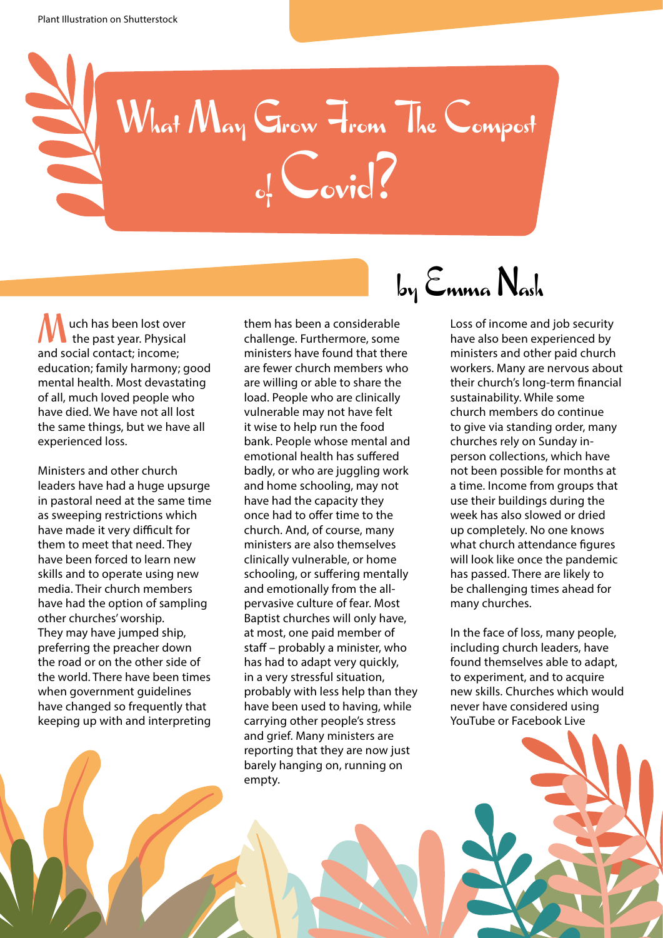

uch has been lost over the past year. Physical **M** uch has been lost ove<br>the past year. Physica<br>and social contact; income; education; family harmony; good mental health. Most devastating of all, much loved people who have died. We have not all lost the same things, but we have all experienced loss.

Ministers and other church leaders have had a huge upsurge in pastoral need at the same time as sweeping restrictions which have made it very difficult for them to meet that need. They have been forced to learn new skills and to operate using new media. Their church members have had the option of sampling other churches' worship. They may have jumped ship, preferring the preacher down the road or on the other side of the world. There have been times when government guidelines have changed so frequently that keeping up with and interpreting them has been a considerable challenge. Furthermore, some ministers have found that there are fewer church members who are willing or able to share the load. People who are clinically vulnerable may not have felt it wise to help run the food bank. People whose mental and emotional health has suffered badly, or who are juggling work and home schooling, may not have had the capacity they once had to offer time to the church. And, of course, many ministers are also themselves clinically vulnerable, or home schooling, or suffering mentally and emotionally from the allpervasive culture of fear. Most Baptist churches will only have, at most, one paid member of staff – probably a minister, who has had to adapt very quickly, in a very stressful situation, probably with less help than they have been used to having, while carrying other people's stress and grief. Many ministers are reporting that they are now just barely hanging on, running on empty.

## by Emma Nash

Loss of income and job security have also been experienced by ministers and other paid church workers. Many are nervous about their church's long-term financial sustainability. While some church members do continue to give via standing order, many churches rely on Sunday inperson collections, which have not been possible for months at a time. Income from groups that use their buildings during the week has also slowed or dried up completely. No one knows what church attendance figures will look like once the pandemic has passed. There are likely to be challenging times ahead for many churches.

In the face of loss, many people, including church leaders, have found themselves able to adapt, to experiment, and to acquire new skills. Churches which would never have considered using YouTube or Facebook Live